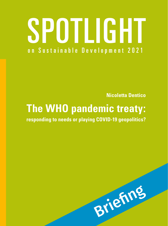# SPOTLIGHT on Sustainable Development 2021

**Nicoletta Dentico** 

## **The WHO pandemic treaty:**

 **responding to needs or playing COVID-19 geopolitics?** 

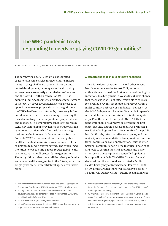### The WHO pandemic treaty: responding to needs or playing COVID-19 geopolitics?

BY NICOLETTA DENTICO, SOCIETY FOR INTERNATIONAL DEVELOPMENT (SID)<sup>1</sup>

The coronavirus (COVID-19) crisis has ignited eagerness in some circles for new binding instruments in the global health arena. This is an unexpected development, in many ways: health policy arrangements are mostly grounded on soft norms, and the World Health Organization (WHO) has adopted binding agreements only twice in its 76 years of history. On several occasions, a clear message of opposition to treaty proposals in past negotiations at the WHO2 had been manifested by those very influential member states that are now spearheading the idea of a binding treaty for pandemic preparedness and response. The emergency scenario triggered by SARS-CoV-2 has apparently healed the treaty fatigue symptoms – particularly after the laborious negotiations on the Framework Convention on Tobacco Control (FCTC)3 – that several multilateral public health actors had maintained was the source of their reluctance to binding norm-setting. The proclaimed intention now is to build a more robust global health architecture that will protect future generations.4 The recognition is that there will be other pandemics and major health emergencies in the future, which no single government or multilateral agency can tackle alone.

#### A catastrophe that should not have happened

There is no doubt that COVID-19 and other recent health emergencies (in August 2021, national authorities confirmed the first ever case of the highly infectious Marburg virus in West Africa) have shown that the world is still not effectively able to prepare for, predict, prevent, respond to and recover from a multi-country outbreak or pandemic. The fact is, as the WHO Independent Panel for Pandemic Preparedness and Response has reminded us in its outspoken report<sup>s</sup> on the woeful reality of COVID-19, that the pandemic should never have occurred in the first place. Not only did the new coronavirus arrive in a world that had ignored warnings coming from public health officials, infectious disease experts, and the majority of recommendations from previous international commissions and organizations, but the international community had all the technical knowledge and tools to confine the viral evolution and make SARS-CoV-2 a geographically controlled epidemic. It simply did not do it. The WHO Director-General declared that the outbreak constituted a Public Health Emergency of International Concern (PHEIC) on 30 January, when there were already 98 cases in 18 countries outside China.6 But his declaration was

 1 A summary of this Briefing Paper has been published in Spotlight on Sustainable Development 2021 [\(https://www.2030spotlight.org/en](https://www.2030spotlight.org/en)).

 2 The rejection of a WHO treaty on needs-driven research and development (R&D) is a contentious case in point: [https://www.twn.](https://www.twn.my/title2/health.info/2016/hi160601.htm) [my/title2/health.info/2016/hi160601.htm](https://www.twn.my/title2/health.info/2016/hi160601.htm)

<sup>3</sup>  [https://www.who.int/fctc/text\\_download/en/](https://www.who.int/fctc/text_download/en/)

<sup>4</sup> [https://www.who.int/news/item/30-03-2021-global-leaders-unite-in](https://www.who.int/news/item/30-03-2021-global-leaders-unite-in-urgent-call-for-international-pandemic-treaty)[urgent-call-for-international-pandemic-treaty](https://www.who.int/news/item/30-03-2021-global-leaders-unite-in-urgent-call-for-international-pandemic-treaty)

 5 COVID-19: Make it the Last Pandemic, Report of the Independent Panel for Pandemic Preparedness and Response, May 2021, [https://](https://theindependentpanel.org/) [theindependentpanel.org/](https://theindependentpanel.org/)

 6 WHO Director-General's statement on IHR Emergency Committee on Novel Coronavirus (2019-nCoV), Geneva, 30 January 2020, [https://www.](https://www.who.int/director-general/speeches/detail/who-director-general-s-statement-on-ihr-emergency-committee-on-novel-coronavirus-(2019-ncov)) [who.int/director-general/speeches/detail/who-director-general](https://www.who.int/director-general/speeches/detail/who-director-general-s-statement-on-ihr-emergency-committee-on-novel-coronavirus-(2019-ncov))[sstatement-on-ihr-emergency-committee-on-novel-coronavirus-](https://www.who.int/director-general/speeches/detail/who-director-general-s-statement-on-ihr-emergency-committee-on-novel-coronavirus-(2019-ncov)) [\(2019-ncov](https://www.who.int/director-general/speeches/detail/who-director-general-s-statement-on-ihr-emergency-committee-on-novel-coronavirus-(2019-ncov)))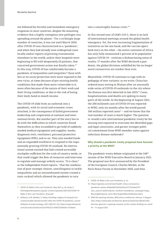not followed by forceful and immediate emergency responses in most countries, despite the mounting evidence that a highly contagious new pathogen was spreading around the planet. "For a strikingly large number of countries, it was not until March 2020, after COVID-19 was characterized as a 'pandemic', and when they had already seen widespread cases locally and/or reports of growing transmission elsewhere in the world, and/or their hospitals were beginning to fill with desperately ill patients, that concerted government action was finally taken."<sup>7</sup> In this way, COVID-19 has comfortably become a pandemic of inequalities and inequities:<sup>s</sup> those with less or no social protection were more exposed to the new virus, at times because of pre-existing health conditions that made them more vulnerable to it, more often because of the nature of their work and their living conditions, or due to the risk of losing their daily *hand-to-mouth* income.

The COVID-19 slide from an outbreak into a pandemic, with its social and economic crises attached, is the consequence of failed government leadership and cooperation at national and international levels. But another part of the story has to do with the difficulties in which countries found themselves as they scrambled to get hold of suddenly needed medical equipment and supplies: masks, diagnostic tests, ventilators, personal protective equipment (PPE), and so on. They also needed funds and an expanded workforce to respond to the exponentially growing COVID-19 caseload. No international system existed that had created accessible stockpiles sufficient for the scale of country needs, or that could trigger the flow of resources and intervene to regulate and manage orderly access. "It is clear," as the Independent Panel reports, "that the combination of poor strategic choices, unwillingness to tackle inequalities and an uncoordinated system created a toxic cocktail which allowed the pandemic to turn

 7 COVID-19: Make it the Last Pandemic, May 2021, p. 28, [https://](https://theindependentpanel.org/wp-content/uploads/2021/05/COVID-19-Make-it-the-Last-Pandemic_final.pdf) [theindependentpanel.org/wp-content/uploads/2021/05/COVID-19-](https://theindependentpanel.org/wp-content/uploads/2021/05/COVID-19-Make-it-the-Last-Pandemic_final.pdf) [Make-it-the-Last-Pandemic\\_final.pdf](https://theindependentpanel.org/wp-content/uploads/2021/05/COVID-19-Make-it-the-Last-Pandemic_final.pdf)

into a catastrophic human crisis."<sup>9</sup>

In this second year of SARS-CoV-2, there is no lack of international meetings around the global health emergency. Yet, the ever-increasing fragmentation of initiatives on the one hand, and the vaccine apartheid story on the other – the entire continent of Africa has only fully immunized 2 percent of its population against COVID-19 – restitute a disheartening sense of reality: 17 months after the WHO declared a pandemic, the global divisions solidified by the no longer novel coronavirus are starker than ever.

Meanwhile, COVID-19 continues to rage with its pedagogy of new variants: as we write, China has ordered mass testing in Wuhan after an unusually wide series of COVID-19 outbreaks in the city where the disease was first detected in late 2019.10 Cases, hospitalizations and deaths are spiking in many parts of the world. At the beginning of August 2021, the 200 millionth case of COVID-19 was reported to WHO, only six months after the world passed 100 million reported cases $11 -$  and we know that the real number of cases is much higher. The question is: would a new international pandemic treaty be the missing tool required to overcome the identified gaps and legal constraints, and garner stronger political commitment from WHO member states against infectious disease outbreaks?

#### Why should a pandemic treaty proposal have become a priority at the WHO?

The pandemic treaty debate originated at the 148<sup>th</sup> session of the WHO Executive Board in January 2021. The proposal was first announced by the President of the European Council, Charles Michel, at the Paris Peace Forum in November 2020, and then

 8 N.Maani ,A.M. Abdalla, S. Galea, Avoiding a legacy of unequal non- communicable disease burden after the COVID-19 pandemic, Lancet Diabetes & Endocrinology, 2021; 9(3):133–135, [https://www.thelancet.](https://www.thelancet.com/journals/landia/article/PIIS2213-8587(21)00026-7/fulltext) [com/journals/landia/article/PIIS2213-8587\(21\)00026-7/fulltext](https://www.thelancet.com/journals/landia/article/PIIS2213-8587(21)00026-7/fulltext)

 9 COVID-19: Make it the Last Pandemic, p. 43.

<sup>10</sup> [https://apnews.com/article/health-china-coronavirus](https://apnews.com/article/health-china-coronavirus-pandemic-wuhan-8fa8edb073629c692ac51772e5e9d775?utm_source=Sailthru&utm_medium=email&utm_campaign=Aug3_MorningWire&utm_term=Morning%20Wire%20Subscribers)[pandemic-wuhan-8fa8edb073629c692ac51772e5e9d775?](https://apnews.com/article/health-china-coronavirus-pandemic-wuhan-8fa8edb073629c692ac51772e5e9d775?utm_source=Sailthru&utm_medium=email&utm_campaign=Aug3_MorningWire&utm_term=Morning%20Wire%20Subscribers) [utm\\_source=Sailthru&utm\\_medium=email&utm\\_campaign=Aug3\\_](https://apnews.com/article/health-china-coronavirus-pandemic-wuhan-8fa8edb073629c692ac51772e5e9d775?utm_source=Sailthru&utm_medium=email&utm_campaign=Aug3_MorningWire&utm_term=Morning%20Wire%20Subscribers) [MorningWire&utm\\_term=Morning%20Wire%20Subscribers](https://apnews.com/article/health-china-coronavirus-pandemic-wuhan-8fa8edb073629c692ac51772e5e9d775?utm_source=Sailthru&utm_medium=email&utm_campaign=Aug3_MorningWire&utm_term=Morning%20Wire%20Subscribers)

 11 WHO DG opening remarks, WHO press conference, Geneva, 11 August 2021, [https://www.who.int/director-general/speeches/detail/who](https://www.who.int/director-general/speeches/detail/who-director-general-s-opening-remarks-at-the-media-briefing-on-covid-19---11-august-2021)[director-general-s-opening-remarks-at-the-media-briefing-on-covid-](https://www.who.int/director-general/speeches/detail/who-director-general-s-opening-remarks-at-the-media-briefing-on-covid-19---11-august-2021)[19---11-august-2021](https://www.who.int/director-general/speeches/detail/who-director-general-s-opening-remarks-at-the-media-briefing-on-covid-19---11-august-2021)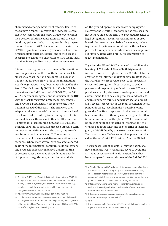championed among a handful of reforms floated at the Geneva agency. It received the immediate enthusiastic welcome from the WHO Director General: in his quest for political cooperation around the pandemic or, quite as likely, in his quest for his prospective re-election in 2022. As mentioned, ever since the COVID-19 pandemic started, governments have continued to flout WHO's guidance; one of the reasons, according to accredited experts, is WHO's feeble legal mandate in responding to a pandemic scenario.<sup>12</sup>

It is worth noting that an instrument of international law that provides the WHO with the framework for emergency coordination and countries' response has existed for some time. This is the International Health Regulations (IHR) document<sup>13</sup> adopted by the World Health Assembly (WHA) in 1969. In 2005, in the wake of the SARS outbreak (2002-2003), the 58th WHA unanimously agreed on the revision of the IHR with the task to "prevent, protect against, control, and provide a public health response to the international spread of disease…". The IHR were then adapted to the exponential increase in international travel and trade, resulting in the emergence of international disease threats and other health risks. Since it entered into force in June 2007, the IHR 2005 has been the core tool to regulate disease outbreaks with an international dimension. The treaty's approach was innovative in many ways;<sup>14</sup> "It was meant to usher an era of rules-based disease surveillance and response, where state sovereignty gives in to shared goals of the international community. Its obligations and protocols reflect a condensed understanding of best practices developed through many decades of diplomatic negotiations, expert input, and also

on-the-ground-operations in health [campaigns".](https://campaigns�.15)<sup>15</sup> However, the COVID-19 emergency has disclosed the not-so-hard side of the IHR. The repeated breaches of legal obligations have mirrored a number of problematic features in the existing framework, including the weak system of accountability, the lack of a process for independent verifications and compliance evaluation, along with ambiguities in relation to travel restrictions.

Together, the EU and WHO managed to mobilize the backing of 25 heads of State of both high-and-low income countries to a global call on 30th March for the creation of an international pandemic treaty to make the world better prepared to react to future health crises, and strengthen global capacity to predict, prevent and respond to pandemic [threats.16](https://threats.16) The proposal, we are told, aims to ensure long-term political commitment; to define clear processes and tasks; to ensure long-term public and private sector support at all [levels.17](https://levels.17) Moreover, as we read, the international pandemic treaty "would make it possible to integrate the One Health approach in the international health architecture, thereby connecting the health of humans, animals and the [planet".](https://planet�.18)18 The focus would be on enhancing the "sharing of information", the "sharing of pathogens" and the "sharing of technologies", as highlighted by the WHO Director General Dr Tedros Adhanom Ghebreyesus when presenting the call at the WHO with EC President Charles [Michel.19](https://Michel.19)

The proposal is light on details, but the notion of a new pandemic treaty seemingly seeks to avoid the attitudes of secrecy and health nationalism that have hampered the containment of the SARS-CoV-2

 12 S. L. Vijav, WHO's Legal Mandate Is Weak In Responding to COVID-19 Emergency; But Changes Are Up To Member States, Health Policy Watch, 23 April 2020, [https://healthpolicy-watch.news/whos-legal](https://healthpolicy-watch.news/whos-legal-mandate-is-weak-in-responding-to-covid-19-emergency-but-changes-are-up-to-member-states/)[mandate-is-weak-in-responding-to-covid-19-emergency-but](https://healthpolicy-watch.news/whos-legal-mandate-is-weak-in-responding-to-covid-19-emergency-but-changes-are-up-to-member-states/)[changes-are-up-to-member-states/](https://healthpolicy-watch.news/whos-legal-mandate-is-weak-in-responding-to-covid-19-emergency-but-changes-are-up-to-member-states/)

<sup>13</sup> <https://www.who.int/publications/i/item/9789241580410>

 14 D.Fidler, From International Sanitary Conventions to Global Health Security: The New International Health Regulations, Chinese Journal of International Law, Volume 4, Issue 2, November 2005, pp. 325-392, <https://doi.org/10.1093/chinesejil/jmi029>

 15 A. Von Bogdandy and P.A. Villarreal , International Law on Pandemic Response: A First Stocktaking in Light of the Coronavirus Crisis, MPIL Research Paper Series, No 2020-07, Max Planck Institute for Comparative Public Law and International Law, March 2020, [https://](https://papers.ssrn.com/sol3/papers.cfm?abstract_id=3561650) [papers.ssrn.com/sol3/papers.cfm?abstract\\_id=3561650](https://papers.ssrn.com/sol3/papers.cfm?abstract_id=3561650)

<sup>16</sup> [https://www.who.int/news-room/commentaries/detail/op-ed--](https://www.who.int/news-room/commentaries/detail/op-ed---covid-19-shows-why-united-action-is-needed-for-more-robust-international-health-architecture) [covid-19-shows-why-united-action-is-needed-for-more-robust](https://www.who.int/news-room/commentaries/detail/op-ed---covid-19-shows-why-united-action-is-needed-for-more-robust-international-health-architecture)[international-health-architecture](https://www.who.int/news-room/commentaries/detail/op-ed---covid-19-shows-why-united-action-is-needed-for-more-robust-international-health-architecture)

<sup>17</sup> [https://www.consilium.europa.eu/en/infographics/towards-an](https://www.consilium.europa.eu/en/infographics/towards-an-international-treaty-on-pandemics/)[international-treaty-on-pandemics/](https://www.consilium.europa.eu/en/infographics/towards-an-international-treaty-on-pandemics/)

<sup>18</sup> Ibid.

<sup>19</sup> [https://www.who.int/news/item/30-03-2021-global-leaders-unite-in](https://www.who.int/news/item/30-03-2021-global-leaders-unite-in-urgent-call-for-international-pandemic-treaty)[urgent-call-for-international-pandemic-treaty](https://www.who.int/news/item/30-03-2021-global-leaders-unite-in-urgent-call-for-international-pandemic-treaty)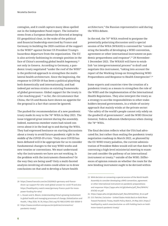contagion, and it could capture many ideas spelled out in the Independent Panel report. The initiative stems from a European demarche directed at keeping EU geopolitical clout, in the wake of the political and financial leadership exercised by France and Germany in building the 2020 coalition of the support to the WHO20 against former US President Trump's hazardous departure from the organization. The EU is also actively fashioning its strategic position in the face of China's ascending global health hegemony, $21$ not only in Geneva. According to Germany, a pandemic treaty negotiated "under the roof of the WHO" is the preferred approach to strengthen the multilateral health architecture. Since the beginning, the response to COVID-19 has been a political plaything both domestically and internationally, and had indeed put serious strains on existing frameworks of global governance. Global support for the treaty is a far-reaching goal; 22 so far, the circumstance that China, the US and Russia have shown no appetite for the proposal is a fact that cannot be ignored.

The pushed-for recommendation of a new pandemic treaty made its way to the 74th WHA in May 2021. The issue triggered great interest during the assembly. Indeed, numerous member states had raised concerns about it in the lead up to and during the WHA. They had expressed hesitance on starting discussions about a treaty to avoid future pandemic *right in the middle of the COVID-19 crisis*: "Only once COVID has been defeated will it be appropriate for us to consider fundamental changes to the way WHO works and new treaties or conventions. We must understand why the instruments we have are not working. Is the problem with the instruments themselves? Or the way they are being used? Only a multi-faceted analysis involving all states could allow us to draw conclusions on that and to develop a future health

architecture," the Russian representative said during the WHA debate.

 demic preparedness and response",23 29 November-In the end, the 74<sup>th</sup> WHA resolved to postpone the potentially polarizing discussion until a special session of the WHA (WHASS) is convened for "considering the benefits of developing a WHO convention, agreement or other international instrument on pan-1 December 2021. The WHASS will have to establish "an intergovernmental process" to draft and negotiate this instrument, "taking into account the report of the Working Group on Strengthening WHO Preparedness and Response to Health [Emergencies".](https://Emergencies�.24)<sup>24</sup>

Some experts and countries view the creation of a pandemic treaty as a means to strengthen the role of the WHO and the implementation of the International Health Regulations. They also interpret the treaty as a strategy to ascribe responsibilities to other stakeholders beyond governments, in a whole-of-society approach that mainly winks at the private sector: "the safety of the world's people cannot rely solely on the goodwill of governments", said the WHO Director General, Tedros Adhanom Ghebreyesus when closing the 74th WHA.

The final decision reflects what the USA had advocated for, but rather than sealing the pandemic treaty negotiation roadmap in March 2022, as planned by the EU-WHO treaty paladins, the current administration of President Biden would still set that date for convening a high-level ministerial meeting to examine and consider the pathway of an international instrument or treaty,<sup>25</sup> outside of the WHO. Differences of opinion remain on whether the route for the new binding instrument ought to be devised within

 [shore-up-support-for-who-seek-global-answer-to-covid-19](https://www.france24.com/en/20200625-germany-and-france-shore-up-support-for-who-seek-global-answer-to-covid-19) and also 20 [https://www.france24.com/en/20200625-germany-and-france](https://www.france24.com/en/20200625-germany-and-france-shore-up-support-for-who-seek-global-answer-to-covid-19)[https://healthpolicy-watch.news/germany-france-push-for-more](https://healthpolicy-watch.news/germany-france-push-for-more-power-funding-for-who/)[power-funding-for-who/](https://healthpolicy-watch.news/germany-france-push-for-more-power-funding-for-who/)

 21 L. Husain and G. Bloom, Understanding China's growing involvement in global health and managing processes of change, Globalization and Health, 1 May 2020, 16: 39, <https://doi.org/10.1186/s12992-020-00569-0>

<sup>22</sup> [https://www.consilium.europa.eu/en/policies/coronavirus/](https://www.consilium.europa.eu/en/policies/coronavirus/pandemic-treaty/) [pandemic-treaty/](https://www.consilium.europa.eu/en/policies/coronavirus/pandemic-treaty/)

 23 WHA decision on convening a special session of the World Health Assembly to consider developing a WHO convention, agreement or other international instrument on pandemic preparedness and response: [https://apps.who.int/gb/ebwha/pdf\\_files/WHA74/](https://apps.who.int/gb/ebwha/pdf_files/WHA74/A74(16)-en.pdf) [A74\(16\)-en.pdf](https://apps.who.int/gb/ebwha/pdf_files/WHA74/A74(16)-en.pdf)

<sup>24</sup> [https://apps.who.int/gb/ebwha/pdf\\_files/EB148/B148\\_18-en.pdf](https://apps.who.int/gb/ebwha/pdf_files/EB148/B148_18-en.pdf)

 25 E.R. Fletcher, Exclusive – United States Holds Back on Bold Move Toward Pandemic Treaty, Health Policy Watch, 21t May 2021, [https://](https://healthpolicy-watch.news/exclusive-us-still-holding-back-on-bold-move-toward-pandemic-treaty/) [healthpolicy-watch.news/exclusive-us-still-holding-back-on-bold](https://healthpolicy-watch.news/exclusive-us-still-holding-back-on-bold-move-toward-pandemic-treaty/)[move-toward-pandemic-treaty/](https://healthpolicy-watch.news/exclusive-us-still-holding-back-on-bold-move-toward-pandemic-treaty/)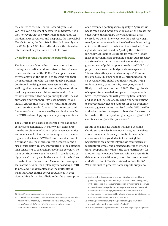the context of the UN General Assembly in New York or as an agreement negotiated in Geneva. It is a fact, however, that the WHO Independent Panel for Pandemic Preparedness and Response, the G20 Global Health Summit, the 74th World Health Assembly and the G7 (in June 2021) have all endorsed the idea of an international negotiation on this field, now.

#### Dwindling perplexities about the pandemic treaty

The landscape of global health governance has undergone a radical and uncontrolled transformation since the end of the 1990s. The appearance of private actors on the global health scene and their incorporation into what was previously a publicly dominated health governance system is the most striking phenomenon that has literally revolutionized the governance architecture in health. In a rather short time, this has gradually lost its lines of authority and responsibility, both politically and legally. Across this shift, major traditional institutions remained underfunded, often contested, and forced to adapt to the new reality – as is the case for the WHO – of overlapping and competing mandates.

The COVID-19 crisis has exasperated this pandemic governance complexity in many ways. It has crept into the ambiguous relationship between economics and science and it has increased scepticism concerning medical science. COVID-19 has come at a time of a dramatic decline of substantive democracy and a rise of authoritarianism, contributing to the potential long-term risks of the reshaping of state power.<sup>26</sup> The virus continues to sweep the world in the flare-up of big-powers' rivalry and in the scenario of the broken threads of [multilateralism.27](https://multilateralism.27) Meanwhile, the empty seats of the new online diplomacy imposed by COVID-19 pose additional problems for the multilateral machinery, deepening power imbalances in decision-making dynamics, albeit under the presumption

of an extended participation [capacity.28](https://capacity.28) Against this backdrop, a good many questions about the breathing catastrophe triggered by the virus remain unanswered. We do not know yet how the outbreak originated, or why some regions have had less devastating epidemics than others. What we know instead, from a global study published in April by the Initiative for Policy Dialogue at Columbia University,<sup>29</sup> is that most governments are imposing budget cuts precisely at a time when their citizens and economies are in greater need of public support. Analysis of IMF fiscal projections shows that budget cuts are expected in 154 countries this year, and as many as 159 countries in 2022. This means that 6.6 billion people, or 85 percent, of the global population will be living under austerity conditions by next year, a trend likely to continue at least until 2025. The high levels of expenditures needed to cope with the pandemic have left governments with growing fiscal deficits and debt, but instead of exploring financing options to provide direly needed support for socio-economic recovery, governments – advised by the IMF, the G20 and other institutions – persist in opting for austerity. Meanwhile, the reality of hunger is growing in "rich" countries, alongside the poor ones.30

In this arena, it is no wonder that key questions should start to arise in various circles, as the debate about the pandemic treaty unfolds. For example: are we sure it is a good idea to kickstart global negotiations on a new treaty in this conjuncture of multilateral stress, and deepened decline of international cooperation? What is the core justification for another treaty to move forward, while we remain in this emergency, with many countries overwhelmed and Ministries of Health stretched to their limits? Why this rushed process? Some experts simply do

30 <https://www.hrw.org/world-report/2020/country-chapters/global-4>

 28 We have directly witnessed at the 74th WHA last May, and in the previous governing bodies' meeting of the WHO since the beginning of the pandemic, that the current adoption of resolutions is deprived of any substantive negotiations among member states. The overall dynamic of these meetings, more often than not, results in a performance of ceremonial deliberations, or conventional statements on what individual member states have done.

<sup>29</sup> [https://policydialogue.org/files/publications/papers/Global-](https://policydialogue.org/files/publications/papers/Global-Austerity-Alert-Ortiz-Cummins-2021-final.pdf)[Austerity-Alert-Ortiz-Cummins-2021-final.pdf](https://policydialogue.org/files/publications/papers/Global-Austerity-Alert-Ortiz-Cummins-2021-final.pdf)

<sup>26</sup> <https://www.voanews.com/covid-and-democracy>

 27 C.F. Pereira Da Silva Gama, Broken Threads: Reshaping Multilateralism with COVID-19 Under Way, E-International Relations, 10 May 2021, [https://www.e-ir.info/2021/05/10/broken-threads-reshaping](https://www.e-ir.info/2021/05/10/broken-threads-reshaping-multilateralism-with-covid-19-under-way/)[multilateralism-with-covid-19-under-way/](https://www.e-ir.info/2021/05/10/broken-threads-reshaping-multilateralism-with-covid-19-under-way/)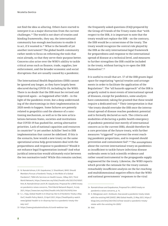not find the idea so alluring. Others have started to interpret it as a major distraction from the current [challenges.31](https://challenges.31) The world is not short of treaties and binding frameworks, they say, the international community has enough mechanisms to enable it to act, if it wanted to.32 What is the benefit of yet another instrument? The global health community rather needs to focus on reforming the tools that exist already, so that they serve their purpose better. Concerns also arise over the WHO's ability to tackle critical areas such as finance, trade, supplies, law enforcement, and the broader economic and social disruptions that are usually caused by a pandemic.

The International Health Regulations (IHR) cannot be ignored any longer, as they have largely been obscured during COVID-19, including by the WHO. There is no doubt that the IHR must be revised and improved again – as happened after SARS – in the light of the pandemic event, but a deep understanding of the shortcomings in their implementation in 2020 needs to happen. Some failures are patently related to geopolitics and the absence of a sanctioning mechanism, as well as to the new articulations between States, societies and institutions that COVID-19 has pushed for, setting alternative priorities. Lack of national capacities and resources in countries<sup>33</sup> is yet another Achilles' heel to IHR implementation that cannot be sidelined. If this is the scenario, how would a new treaty on the same operational arena help governments deal with the preparedness and response to pandemics? Would it not enhance legal fragmentation instead? And what juridical interaction would ultimately exist between the two normative tools? While this remains unclear, the frequently asked questions (FAQ) prepared by the Group of Friends of the Treaty states that "with respect to the IHR, it is important to note that the treaty would not replace the IHR – on the contrary, the IHR would be a cornerstone of the treaty. The treaty would recognize the central role played by the IHR as the only international legal framework for preparedness and response to the international spread of disease at a technical level, and measures to further strengthen the IHR could be included in the treaty, without having to re-open the IHR [themselves".](https://themselves�.34)<sup>34</sup>

It is useful to recall that art. 57 of the IHR grants legal space for negotiating "special treaties and arrangements in order to facilitate the application of the Regulations". The "all hazards approach" of the IHR is properly suited to most events of international spread of diseases, except for pandemics, some analysts have commented, taking for granted that these would require a dedicated tool.<sup>35</sup> Their interpretation is that "the treaty should overtake the IHR once the international spread of disease reaches pandemic potential and is formally declared as such. The criteria and modalities of declaring a public health emergency of pandemic potential (not merely of international concern as in the current IHR), should therefore be a core provision of the future treaty, with further measures "triggered" to prevent the event reaching pandemic proportions, and to respond should prevention and containment [fail".](https://fail�.36)36 The assumptions about the current international treaty on pandemics as insufficient to tackle future infectious disease outbreaks seem to lack scientific evidence and rather sound instrumental to the propaganda supply engineered for the treaty. Likewise, the WHO reports which provide the rationale for the treaty contain remarkably insufficient analysis on the far-reaching and multidimensional negative effects that the WHO and national governments' responses to the viral

 31 N. Ramakrishnan, K.M. Gopakumar, S. Shashikant, WHO: Should Members Pursue a Pandemic Treaty, in the Midst of a Global Pandemic?, TWN Info Services on Health Issues, 12May 2021, Third World Network, [https://www.twn.my/title2/health.info/2021/hi210507.](https://www.twn.my/title2/health.info/2021/hi210507.htm) [htm](https://www.twn.my/title2/health.info/2021/hi210507.htm); N. Ramakrishnan and K.M. Gopakumar, Proposal for a WHO treaty on pandemics raises concerns, Third World Network Report, 14 July 2021, <https://www.twn.my/title2/health.info/2021/hi210702.htm>

 32 S. L. Viajy, Global Health Is In Disarray: But Is A Pandemic Treaty a Way Out?, Health Policy Watch, 23 April 2021, [https://healthpolicy-watch.](https://healthpolicy-watch.news/global-health-is-in-disarray-but-is-a-pandemic-treaty-the-way-out/) [news/global-health-is-in-disarray-but-is-a-pandemic-treaty-the](https://healthpolicy-watch.news/global-health-is-in-disarray-but-is-a-pandemic-treaty-the-way-out/)[way-out/](https://healthpolicy-watch.news/global-health-is-in-disarray-but-is-a-pandemic-treaty-the-way-out/)

<sup>33</sup> <https://www.graduateinstitute.ch/covid-webinar-law>

 34 Ramakrishnan and Gopakumar, Proposal for a WHO treaty on pandemics raises concerns, p. 14.

 35 H. Nikogosian and I. Kickbush, How would a pandemic treaty relate with the existing IHR (2005)?, BMJ Global Health, 23 May 2021, [https://](https://blogs.bmj.com/bmj/2021/05/23/how-would-a-pandemic-treaty-relate-with-the-existing-ihr-2005/) [blogs.bmj.com/bmj/2021/05/23/how-would-a-pandemic-treaty](https://blogs.bmj.com/bmj/2021/05/23/how-would-a-pandemic-treaty-relate-with-the-existing-ihr-2005/)[relate-with-the-existing-ihr-2005/](https://blogs.bmj.com/bmj/2021/05/23/how-would-a-pandemic-treaty-relate-with-the-existing-ihr-2005/)

<sup>36</sup> Ibid.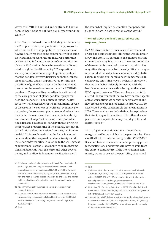waves of COVID-19 have had and continue to have on peoples' health, the social fabric and lives around the [planet.37](https://planet.37)

According to the institutional lobbying carried out by the European Union, the pandemic treaty proposal – which seems to be the geopolitical reverberation of having finally reached some commonality in vaccine distribution and economic aid in Europe after that COVID-19 had inflicted a number of communitarian blows in 2020 – will enhance international efforts to reinforce global health [security.38](https://security.38) The question is: security for whom? Some expert opinions contend that the pandemic treaty discussions should impose an opportunity and an imperative "to rethink the paradigm of global health security that has shaped the current international response to the COVID-19 pandemic. The prevailing paradigm is antithetical to the core purpose of global pandemic preparedness and [response".](https://response�.39)39 The notion of "global health security" that emerged with the international spread of diseases in the context of neoliberal economic globalization, the structural phenomenon of migrations mostly due to armed conflicts, economic instability and climate change "led to the reframing of infectious diseases as a *national security* threat, bringing the language and thinking of the security sector, concerned with defending national borders, not human [health".](https://health�.40)40 It is problematic that the focus in current debates about the proposed pandemic treaty should insist "on enforceability in relation to the willingness of governments of the Global South to share information and materials with the WHO and other governments, and to allow independent verification": with

the somewhat implicit assumption that pandemic risks originate in poorer regions of the world.<sup>41</sup>

#### response, please The truth about pandemic preparedness and

In 2020, three historic trajectories of incremental crises have come together, taking the world's breath away: the COVID-19 pandemic, the planet's shifting climate and rising inequalities. The most immediate of these forces is the novel coronavirus, which has magnified the systemic frailties of political arrangements and of the value frame of neoliberal globalization, including in the 'advanced' democracies, in collectively terrifying ways. The health emergency that we are facing is deeply connected with the health emergency the earth is facing, as the latest IPCC report [illustrates.42](https://illustrates.42) Humans have so brutally altered the environment that we have become agents of transformations we cannot reliably control. But new trends emerge in global health after COVID-19, accelerated by the considerable transformations in 2020. These are increasingly defined by aspirations that aim to expand the notions of health and social justice to encompass planetary, racial, gender and digital justice.<sup>43</sup>

With diligent nonchalance, governments have marginalized human rights in the past decades. They can ill afford to continue doing so after [COVID-19.44](https://COVID-19.44) It seems obvious that a new set of organizing principles, institutions and norms will have to stem from the current conjuncture, if the international community wants to project the possibility of survival

 37 S. Behrendt and A. Mueller, Why the rush? A call for critical reflection on the legal and human rights implications of a potential new international treaty on pandemics, EJIL:Talk!, blog of the European Journal of International Law, 29 July 2021, [https://www.ejiltalk.org/](https://www.ejiltalk.org/why-the-rush-a-call-for-critical-reflection-on-the-legal-and-human-rights-implications-of-a-potential-new-international-treaty-on-pandemics/) [why-the-rush-a-call-for-critical-reflection-on-the-legal-and-human](https://www.ejiltalk.org/why-the-rush-a-call-for-critical-reflection-on-the-legal-and-human-rights-implications-of-a-potential-new-international-treaty-on-pandemics/)[rights-implications-of-a-potential-new-international-treaty-on](https://www.ejiltalk.org/why-the-rush-a-call-for-critical-reflection-on-the-legal-and-human-rights-implications-of-a-potential-new-international-treaty-on-pandemics/)[pandemics/](https://www.ejiltalk.org/why-the-rush-a-call-for-critical-reflection-on-the-legal-and-human-rights-implications-of-a-potential-new-international-treaty-on-pandemics/)

<sup>38</sup> [https://www.consilium.europa.eu/en/policies/coronavirus/](https://www.consilium.europa.eu/en/policies/coronavirus/pandemic-treaty/) [pandemic-treaty/](https://www.consilium.europa.eu/en/policies/coronavirus/pandemic-treaty/)

 39 S. Fukuda-Parr, P. Buss, A.E. Yamin, Pandemic Treaty needs to start with rethinking the paradigm of global health security, BMJ Global Health, 25h May 2021, [https://gh.bmj.com/content/bmjgh/6/6/](https://gh.bmj.com/content/bmjgh/6/6/e006392.full.pdf) [e006392.full.pdf](https://gh.bmj.com/content/bmjgh/6/6/e006392.full.pdf)

 40 Ibid.

<sup>41</sup> Ibid.

 42 J.Tollefson, IPCC climate report: Earth is warmer than it's been in 125,000 years, Nature, 9 August 2021, [https://www.nature.com/](https://www.nature.com/articles/d41586-021-02179-1?utm_source=Nature+Briefing&utm_campaign=13115e4795-briefing-dy-20210816&utm_medium=email&utm_term=0_c9dfd39373-13115e4795-44824705) [articles/d41586-021-02179-1?utm\\_source=Nature+Briefing&utm\\_](https://www.nature.com/articles/d41586-021-02179-1?utm_source=Nature+Briefing&utm_campaign=13115e4795-briefing-dy-20210816&utm_medium=email&utm_term=0_c9dfd39373-13115e4795-44824705) [campaign=13115e4795-briefing-dy-20210816&utm\\_](https://www.nature.com/articles/d41586-021-02179-1?utm_source=Nature+Briefing&utm_campaign=13115e4795-briefing-dy-20210816&utm_medium=email&utm_term=0_c9dfd39373-13115e4795-44824705) [medium=email&utm\\_term=0\\_c9dfd39373-13115e4795-44824705](https://www.nature.com/articles/d41586-021-02179-1?utm_source=Nature+Briefing&utm_campaign=13115e4795-briefing-dy-20210816&utm_medium=email&utm_term=0_c9dfd39373-13115e4795-44824705)

 43 N. Dentico, The Breathing Catastrophe: COVID-19 and Global Health Governance, Development 64, 13 July 2021, [https://link.springer.com/](https://link.springer.com/article/10.1057%2Fs41301-021-00296-y) [article/10.1057%2Fs41301-021-00296-y](https://link.springer.com/article/10.1057%2Fs41301-021-00296-y)

 44 S. Davies (on behalf of signatories), "An international pandemic treaty must centre on human rights, The BMJ opinion, 10 May 2021, [https://](https://blogs.bmj.com/bmj/2021/05/10/an-international-pandemic-treaty-must-centre-on-human-rights/) [blogs.bmj.com/bmj/2021/05/10/an-international-pandemic-treaty](https://blogs.bmj.com/bmj/2021/05/10/an-international-pandemic-treaty-must-centre-on-human-rights/)[must-centre-on-human-rights/](https://blogs.bmj.com/bmj/2021/05/10/an-international-pandemic-treaty-must-centre-on-human-rights/)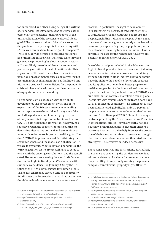for humankind and other living beings. But will the hasty pandemic treaty address the systemic pathologies of an international (dis)order rooted in the universalization of the Western neoliberal ideologies?45 The narrow window of the policy areas that the pandemic treaty is expected to be dealing with – "research, innovation, financing and transport"<sup>46</sup> – will arguably be directed to building resilience and mitigating future risks, while the planetary and governance plundering by global economic actors will most likely be excluded from the content and process-organization of the diplomatic route. This separation of the health crisis from the socio-economic and environmental crises looks anything but promising: the asphyxiation that has facilitated and ultimately produced the conditions for the pandemic crisis will have to be addressed, while other sources of asphyxiation are in the making.

The pandemic crisis has to do with the right to development. The development myth, one of the expressions of the Western attempt at extending its own episteme to the world and today one of the unchallengeable norms of human progress, had already manifested its profound limits well before COVID-19. Its hegemonic affirmation, however, has severely eroded the capacity for most countries to determine alternative political and economic avenues, with an immense impact on health rights. Now that COVID-19 imposes the need for rethinking the economic sphere and the models of globalization, if we are to avoid future spillovers and pandemics, the WHO negotiation on the treaty will have to come to terms with the ongoing consultations, and the complicated discussions concerning the new draft Convention on the Right to Development<sup>47</sup> released – with symbolic coincidence – in January 2020 by the UN Office of the High Commissioner for Human Rights. The health emergency offers a unique opportunity for all States and international organizations to take the right to development seriously, and for several

 45 F. Sarr, Afrotopia, MLA Univocal Series, December 2019, [https://www.](https://www.upress.umn.edu/book-division/books/afrotopia) [upress.umn.edu/book-division/books/afrotopia](https://www.upress.umn.edu/book-division/books/afrotopia)

reasons. In particular, the right to development is "a *bridging right* because it connects the rights of individuals (citizens) with those of groups and peoples, including indigenous [peoples".](https://peoples�.48)48 It is a fact that several human rights are mainly experienced in community, as part of a group or population, while they also have meaning for each individual. This is certainly the case for the right to health, as we are potently experiencing with SARS-CoV-2.

One of the principles included in the debate on the Right to Development embraces the notion of sharing economic and technical resources as a mandatory principle, to sustain global equity. Everyone should have the right to the benefits of scientific progress and its application, not only to better prepare for health emergencies. As the international community toys with the idea of a pandemic treaty, COVID-19 vaccine distribution continues to reflect a tale of global inequality, with systemic hoarding from a bare handful of high-income countries $49 - 4.8$  billion doses have been administered globally, but only 1.3 percent of people in low-income countries have received at least one dose (as of 18 August 2021).<sup>50</sup> Shameless enough to continue preaching the "leave no one behind" mantra in international circles,<sup>51</sup> several wealthy nations have now announced plans to give their citizens a COVID-19 booster in a bid to help increase the protection of their most vulnerable citizens – even though the science is not clear on whether this third vaccine strategy will be effective or indeed necessary.<sup>52</sup>

Those same countries and institutions, particularly in Europe, are propelling the pandemic treaty idea while consistently blocking – for ten months now – the possibility of temporarily waiving the pharma companies' intellectual property rights (IPRs) to

<sup>46</sup> [https://www.consilium.europa.eu/en/policies/coronavirus/](https://www.consilium.europa.eu/en/policies/coronavirus/pandemic-treaty/) [pandemic-treaty/](https://www.consilium.europa.eu/en/policies/coronavirus/pandemic-treaty/)

<sup>47</sup> [https://www.ohchr.org/Documents/Issues/Development/](https://www.ohchr.org/Documents/Issues/Development/Session21/3_A_HRC_WG.2_21_2_AdvanceEditedVersion.pdf) [Session21/3\\_A\\_HRC\\_WG.2\\_21\\_2\\_AdvanceEditedVersion.pdf](https://www.ohchr.org/Documents/Issues/Development/Session21/3_A_HRC_WG.2_21_2_AdvanceEditedVersion.pdf)

 48 N. Schrijver, A new Convention on the human right to development: Putting the cart before the horse? Netherland Quarterly of Human Rights, 11 June 2020, [https://journals.sagepub.com/doi/](https://journals.sagepub.com/doi/full/10.1177/0924051920924547) [full/10.1177/0924051920924547](https://journals.sagepub.com/doi/full/10.1177/0924051920924547)

<sup>49</sup> [https://www.nytimes.com/interactive/2021/03/31/world/global](https://www.nytimes.com/interactive/2021/03/31/world/global-vaccine-supply-inequity.html)[vaccine-supply-inequity.html](https://www.nytimes.com/interactive/2021/03/31/world/global-vaccine-supply-inequity.html)

<sup>50</sup> <https://ourworldindata.org/covid-vaccinations>

<sup>51</sup> [https://www.nytimes.com/interactive/2021/05/15/world/covid](https://www.nytimes.com/interactive/2021/05/15/world/covid-inequality-vaccines.html)[inequality-vaccines.html](https://www.nytimes.com/interactive/2021/05/15/world/covid-inequality-vaccines.html)

<sup>52</sup> <https://www.nature.com/articles/d41586-021-02158-6>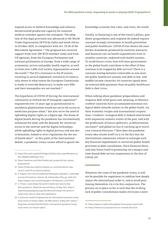expand access to medical knowledge and enhance decentralized production capacity for essential medical remedies against the contagion. The adoption of this legal provision was advanced to the World Trade Organization (WTO) by India and South Africa in October 2020, in compliance with Art. IX (4) of the Marrakesh Agreement.<sup>53</sup> The proposal has received support from over 100 WTO member states and from UN agencies, from the European Parliament and national parliaments in Europe, from a wide range of economists, jurists and public health experts, as well as from over 1,000 civil society organizations around the [world.54](https://world.54) The EU's resistance to the IP waiver, resulting in several diplomatic initiatives in Geneva, only shows to what extent the European Commission is ready to override democracy, to make sure IPRs and their monopolies are not touched.<sup>55</sup>

The hypothesis of COVID-19 forcing the international community to rethink the IP monopoly capitalism<sup>56</sup> engineered over 25 years ago as quintessential to neoliberal globalization would not serve the access to medicines purpose alone,<sup>57</sup> but also serve the need of upholding digital rights in a digital age. The boom of digital health during the pandemic has incrementally enhanced the need, and the demand, for universal access to the internet and the digital technology, while upholding rights to digital privacy and non-discrimination, linked to strict regulations for the use of health data<sup>58</sup> – at this point of the international debate, a pandemic treaty cannot afford to ignore the

- 54 [https://www.twn.my/title2/intellectual\\_property/trips\\_waiver\\_](https://www.twn.my/title2/intellectual_property/trips_waiver_proposal.htm) [proposal.htm](https://www.twn.my/title2/intellectual_property/trips_waiver_proposal.htm)
- 55 [https://msfaccess.org/msf-analysis-eu-communications-trips](https://msfaccess.org/msf-analysis-eu-communications-trips-council-covid-19-ip-waiver-proposal)[council-covid-19-ip-waiver-proposal](https://msfaccess.org/msf-analysis-eu-communications-trips-council-covid-19-ip-waiver-proposal)
- 56 U. Pagano, The Crisis of Intellectual Monopoly Capitalism , Cambridge Journal of Economics, Volume. 38, 13 November 2014, pp. 1409-1431, [https://papers.ssrn.com/sol3/papers.cfm?abstract\\_id=2537972](https://papers.ssrn.com/sol3/papers.cfm?abstract_id=2537972)
- 57 E. T'Hoen , Covid shows the world it needs new rules to deal with pandemics", Medicine Law and Policy, 21t May 2021, [https://](https://medicineslawandpolicy.org/2021/05/covid-shows-the-world-it-needs-new-rules-to-deal-with-pandemics/) [medicineslawandpolicy.org/2021/05/covid-shows-the-world-it](https://medicineslawandpolicy.org/2021/05/covid-shows-the-world-it-needs-new-rules-to-deal-with-pandemics/)[needs-new-rules-to-deal-with-pandemics/](https://medicineslawandpolicy.org/2021/05/covid-shows-the-world-it-needs-new-rules-to-deal-with-pandemics/)
- 58 S. Davies (on behalf of signatories), An international pandemic treaty must centre on human rights, The BMJ opinion, 10 May 2021, [https://](https://blogs.bmj.com/bmj/2021/05/10/an-international-pandemic-treaty-must-centre-on-human-rights/) [blogs.bmj.com/bmj/2021/05/10/an-international-pandemic-treaty](https://blogs.bmj.com/bmj/2021/05/10/an-international-pandemic-treaty-must-centre-on-human-rights/)[must-centre-on-human-rights/](https://blogs.bmj.com/bmj/2021/05/10/an-international-pandemic-treaty-must-centre-on-human-rights/)

knowledge economy that rules, and ruins, the world.

Finally, as financing is one of the treaty's pillars, pandemic preparedness and response do indeed require constant strategic investment in health prevention and public healthcare. COVID-19 has shown the numberless drawbacks produced by austerity measures and financial cuts on health expenditures even in wealthy countries, endowed with health systems. To avoid future crises, how will most governments in the global South contribute to the effort if they continue to be trapped by debt service? There is a constant overlap between vulnerable or non-existent public healthcare systems and debt in low- and middle-income countries: 64 countries spend more on external debt payments than on public healthcare. Debt is *their* virus.

When talking about pandemic preparedness and response debt relief gains new meaning, as Western creditor countries have accumulated enormous ecological debts towards nations in the global South, via their economic recipes and transnational corporations. Creditors' ecological debt is indeed intertwined with sequential zoonotic events of the past, and with the predictions of future spillovers, as deforestation increases<sup>59</sup> and global ice loss is catching up to worstcase scenario [forecasts.60](https://forecasts.60) How does the pandemic treaty idea situate itself vis á vis the fact that the international community refuses to untangle such key financial impediments to universal public health provision as debt cancellation, illicit financial flows, and only limits itself to promoting very meagre and time-bound debt service suspensions in the face of COVID-19?

#### Conclusions

Whatever the route of the pandemic treaty, it will not be possible for negotiators to sideline how deeply unjust the international order is, and to avoid positioning themselves vis á vis this conjuncture. The process set in place so far is such that the striking lack of public consultations makes everyone a mere

<sup>53</sup> [https://docs.wto.org/dol2fe/Pages/SS/directdoc.aspx?filename=q:/](https://docs.wto.org/dol2fe/Pages/SS/directdoc.aspx?filename=q:/IP/C/W669R1.pdf&Open=True) [IP/C/W669R1.pdf&Open=True](https://docs.wto.org/dol2fe/Pages/SS/directdoc.aspx?filename=q:/IP/C/W669R1.pdf&Open=True)

<sup>59</sup> <https://www.un.org/en/desa/global-forest-goals-report-2021> 60 <https://www.arcus.org/sipn/sea-ice-outlook/2021/june>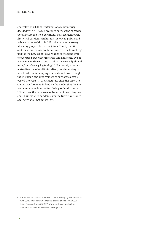spectator. In 2020, the international community decided with ACT-Accelerator to entrust the organizational setup and the operational management of the first viral pandemic in human history to public and private partnerships. In 2021, the pandemic treaty idea may purposely use the joint effort by the WHO and these multistakeholder alliances – the launching pad for the new global governance of the pandemic – to overrun power asymmetries and define the eve of a new normative era: one in which "*everybody should be in from the very [beginning](https://beginning�.61)*".61 Not merely a recontextualization of multilateralism, but the setting of novel criteria for shaping international law through the inclusion and involvement of corporate actors' vested interests, in their metamorphic disguise. The COVAX Facility may indeed be the model that the few promoters have in mind for their pandemic treaty. If that were the case, we can be sure of one thing: we shall have nastier pandemics in the future and, once again, we shall not get it right.

 61 C.F. Pereira Da Silva Gama, Broken Threads: Reshaping Multilateralism with COVID-19 Under Way, E-International Relations, 10 May 2021, [multilateralism-with-covid-19-under-way/,](https://www.e-ir.info/2021/05/10/broken-threads-reshaping-multilateralism-with-covid-19-under-way/) p. 5.[https://www.e-ir.info/2021/05/10/broken-threads-reshaping-](https://www.e-ir.info/2021/05/10/broken-threads-reshaping-multilateralism-with-covid-19-under-way/)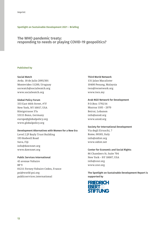#### Spotlight on Sustainable Development 2021 – Briefing

#### The WHO pandemic treaty: responding to needs or playing COVID-19 geopolitics?

#### Published by

#### Social Watch

Avda. 18 de Julio 2095/301 Montevideo 11200, Uruguay [socwatch@socialwatch.org](mailto:socwatch%40socialwatch.org?subject=)  [www.socialwatch.org](http://socialwatch.org/)

#### Global Policy Forum

europe@globalpolicy.org 333 East 46th Street, #7F New York, NY 10017, USA Königstrasse 37a 53115 Bonn, Germany [www.globalpolicy.org](https://www.globalpolicy.org/)

#### Development Alternatives with Women for a New Era

info@dawnnet.org Level 2 JP Bayly Trust Building 193 Rodwell Road Suva, Fiji www.dawnnet.org

#### Public Services International

45 avenue Voltaire BP 9 01211 Ferney-Voltaire Cedex, France [psi@world-psi.org](mailto:psi%40world-psi.org?subject=) [publicservices.international](https://publicservices.international/) 

#### Third World Network

twn@twnetwork.org 131 Jalan Macalister 10400 Penang, Malaysia <www.twn.my>

#### Arab NGO Network for Development

info@annd.org P.O.Box: 5792/14 Mazraa 1105 – 2070 Beirut, Lebanon <www.annd.org>

#### Society for International Development

Via degli Etruschi, 7 Rome, 00185, Italy [info@sidint.org](mailto:info%40sidint.org?subject=) <www.sidint.net>

#### Center for Economic and Social Rights

info@cesr.org 86 Chambers St, Suite 704 New York – NY 10007, USA <www.cesr.org>

#### The Spotlight on Sustainable Development Report is supported by